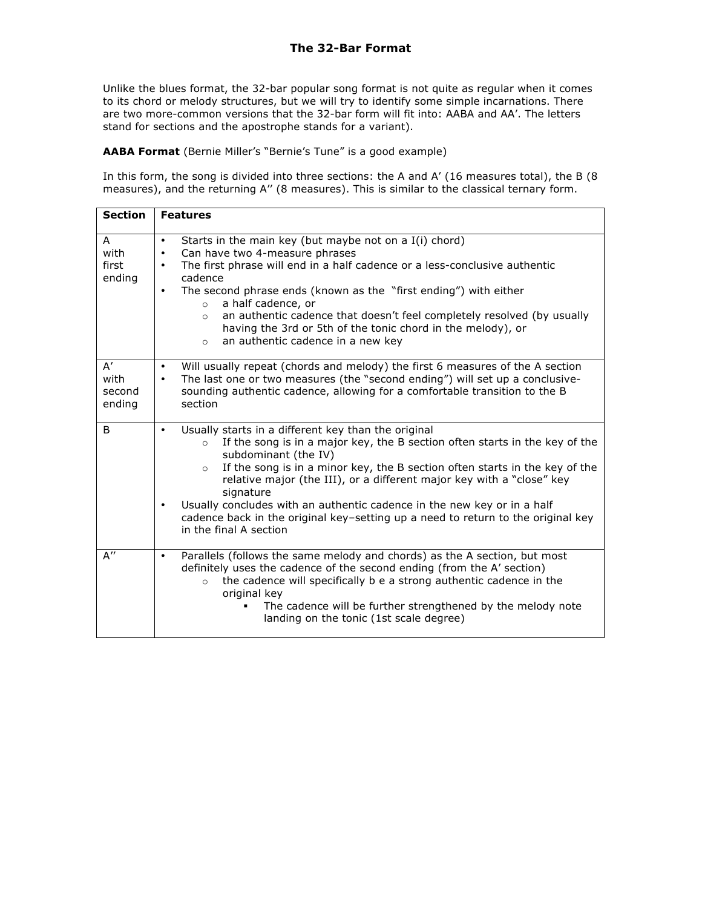Unlike the blues format, the 32-bar popular song format is not quite as regular when it comes to its chord or melody structures, but we will try to identify some simple incarnations. There are two more-common versions that the 32-bar form will fit into: AABA and AA'. The letters stand for sections and the apostrophe stands for a variant).

**AABA Format** (Bernie Miller's "Bernie's Tune" is a good example)

In this form, the song is divided into three sections: the A and A' (16 measures total), the B (8 measures), and the returning A" (8 measures). This is similar to the classical ternary form.

| <b>Section</b>                           | <b>Features</b>                                                                                                                                                                                                                                                                                                                                                                                                                                                                                                                                                          |
|------------------------------------------|--------------------------------------------------------------------------------------------------------------------------------------------------------------------------------------------------------------------------------------------------------------------------------------------------------------------------------------------------------------------------------------------------------------------------------------------------------------------------------------------------------------------------------------------------------------------------|
| A<br>with<br>first<br>ending             | Starts in the main key (but maybe not on a I(i) chord)<br>$\bullet$<br>Can have two 4-measure phrases<br>$\bullet$<br>The first phrase will end in a half cadence or a less-conclusive authentic<br>$\bullet$<br>cadence<br>The second phrase ends (known as the "first ending") with either<br>$\bullet$<br>a half cadence, or<br>$\circ$<br>an authentic cadence that doesn't feel completely resolved (by usually<br>$\circ$<br>having the 3rd or 5th of the tonic chord in the melody), or<br>an authentic cadence in a new key<br>$\circ$                           |
| $A^{\prime}$<br>with<br>second<br>ending | Will usually repeat (chords and melody) the first 6 measures of the A section<br>$\bullet$<br>The last one or two measures (the "second ending") will set up a conclusive-<br>$\bullet$<br>sounding authentic cadence, allowing for a comfortable transition to the B<br>section                                                                                                                                                                                                                                                                                         |
| B                                        | Usually starts in a different key than the original<br>$\bullet$<br>If the song is in a major key, the B section often starts in the key of the<br>$\circ$<br>subdominant (the IV)<br>If the song is in a minor key, the B section often starts in the key of the<br>$\circ$<br>relative major (the III), or a different major key with a "close" key<br>signature<br>Usually concludes with an authentic cadence in the new key or in a half<br>$\bullet$<br>cadence back in the original key-setting up a need to return to the original key<br>in the final A section |
| $A^{\prime\prime}$                       | Parallels (follows the same melody and chords) as the A section, but most<br>$\bullet$<br>definitely uses the cadence of the second ending (from the A' section)<br>the cadence will specifically b e a strong authentic cadence in the<br>$\circ$<br>original key<br>The cadence will be further strengthened by the melody note<br>landing on the tonic (1st scale degree)                                                                                                                                                                                             |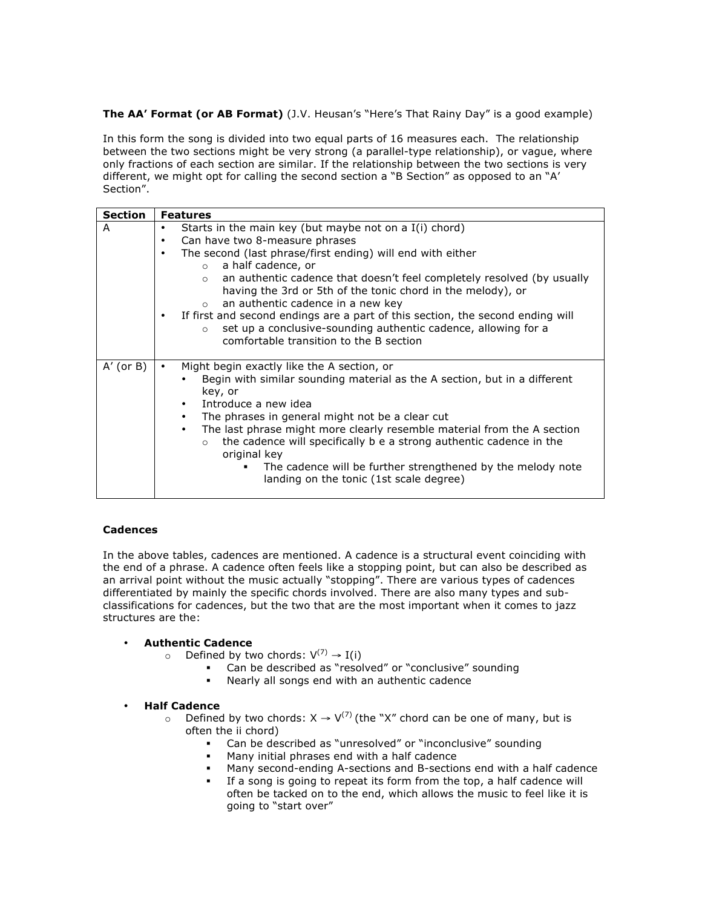**The AA' Format (or AB Format)** (J.V. Heusan's "Here's That Rainy Day" is a good example)

In this form the song is divided into two equal parts of 16 measures each. The relationship between the two sections might be very strong (a parallel-type relationship), or vague, where only fractions of each section are similar. If the relationship between the two sections is very different, we might opt for calling the second section a "B Section" as opposed to an "A' Section".

| <b>Section</b> | <b>Features</b>                                                                                                                                                           |
|----------------|---------------------------------------------------------------------------------------------------------------------------------------------------------------------------|
| A              | Starts in the main key (but maybe not on a I(i) chord)<br>٠                                                                                                               |
|                | Can have two 8-measure phrases<br>$\bullet$                                                                                                                               |
|                | The second (last phrase/first ending) will end with either<br>$\bullet$                                                                                                   |
|                | a half cadence, or<br>$\circ$                                                                                                                                             |
|                | an authentic cadence that doesn't feel completely resolved (by usually<br>$\circ$<br>having the 3rd or 5th of the tonic chord in the melody), or                          |
|                | an authentic cadence in a new key<br>$\circ$                                                                                                                              |
|                | If first and second endings are a part of this section, the second ending will<br>٠                                                                                       |
|                | set up a conclusive-sounding authentic cadence, allowing for a<br>$\circ$                                                                                                 |
|                | comfortable transition to the B section                                                                                                                                   |
|                |                                                                                                                                                                           |
| $A'$ (or $B$ ) | Might begin exactly like the A section, or                                                                                                                                |
|                | Begin with similar sounding material as the A section, but in a different                                                                                                 |
|                | key, or                                                                                                                                                                   |
|                | Introduce a new idea<br>$\bullet$                                                                                                                                         |
|                | The phrases in general might not be a clear cut<br>$\bullet$                                                                                                              |
|                | The last phrase might more clearly resemble material from the A section<br>the cadence will specifically b e a strong authentic cadence in the<br>$\circ$<br>original key |
|                | The cadence will be further strengthened by the melody note                                                                                                               |
|                | landing on the tonic (1st scale degree)                                                                                                                                   |
|                |                                                                                                                                                                           |

## **Cadences**

In the above tables, cadences are mentioned. A cadence is a structural event coinciding with the end of a phrase. A cadence often feels like a stopping point, but can also be described as an arrival point without the music actually "stopping". There are various types of cadences differentiated by mainly the specific chords involved. There are also many types and subclassifications for cadences, but the two that are the most important when it comes to jazz structures are the:

## • **Authentic Cadence**

- o Defined by two chords:  $V^{(7)} \rightarrow I(i)$ 
	- ! Can be described as "resolved" or "conclusive" sounding
		- ! Nearly all songs end with an authentic cadence

## • **Half Cadence**

- o Defined by two chords:  $X \rightarrow V^{(7)}$  (the "X" chord can be one of many, but is often the ii chord)
	- Can be described as "unresolved" or "inconclusive" sounding
	- Many initial phrases end with a half cadence
	- ! Many second-ending A-sections and B-sections end with a half cadence
	- If a song is going to repeat its form from the top, a half cadence will often be tacked on to the end, which allows the music to feel like it is going to "start over"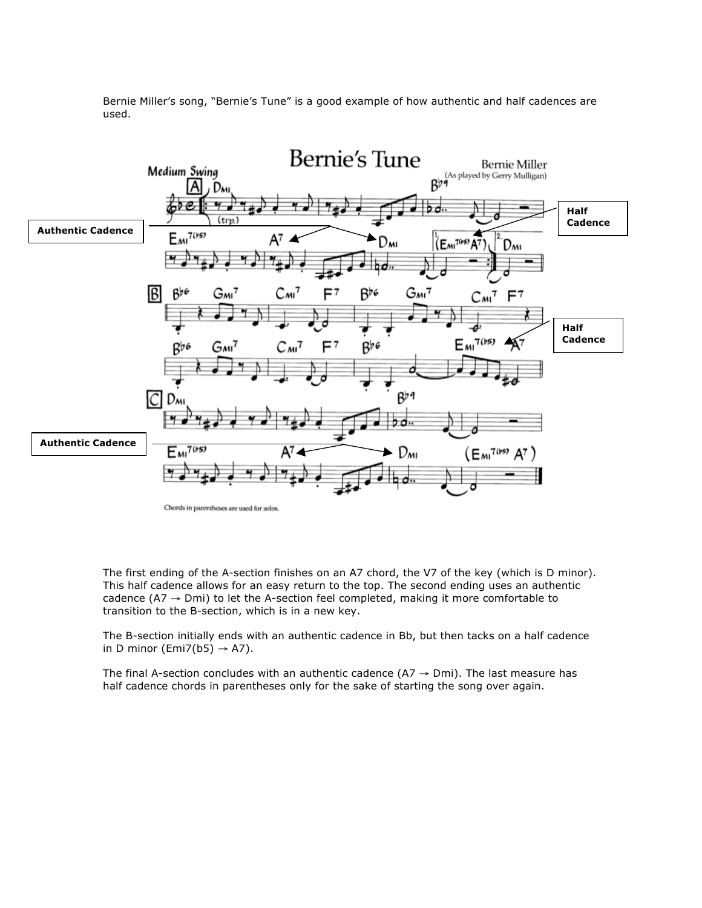

Bernie Miller's song, "Bernie's Tune" is a good example of how authentic and half cadences are used.

The first ending of the A-section finishes on an A7 chord, the V7 of the key (which is D minor). This half cadence allows for an easy return to the top. The second ending uses an authentic cadence ( $A7 \rightarrow Dmi$ ) to let the A-section feel completed, making it more comfortable to transition to the B-section, which is in a new key.

The B-section initially ends with an authentic cadence in Bb, but then tacks on a half cadence in D minor (Emi7(b5)  $\rightarrow$  A7).

The final A-section concludes with an authentic cadence (A7  $\rightarrow$  Dmi). The last measure has half cadence chords in parentheses only for the sake of starting the song over again.